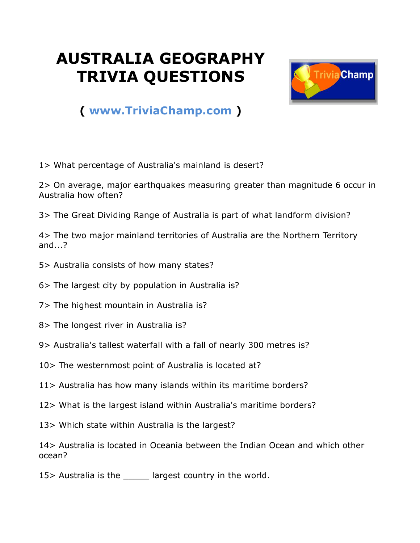## **AUSTRALIA GEOGRAPHY TRIVIA QUESTIONS**



## **( [www.TriviaChamp.com](http://www.triviachamp.com/) )**

1> What percentage of Australia's mainland is desert?

2> On average, major earthquakes measuring greater than magnitude 6 occur in Australia how often?

3> The Great Dividing Range of Australia is part of what landform division?

4> The two major mainland territories of Australia are the Northern Territory and...?

- 5> Australia consists of how many states?
- 6> The largest city by population in Australia is?
- 7> The highest mountain in Australia is?
- 8> The longest river in Australia is?
- 9> Australia's tallest waterfall with a fall of nearly 300 metres is?
- 10> The westernmost point of Australia is located at?
- 11> Australia has how many islands within its maritime borders?
- 12> What is the largest island within Australia's maritime borders?
- 13> Which state within Australia is the largest?

14> Australia is located in Oceania between the Indian Ocean and which other ocean?

15> Australia is the largest country in the world.